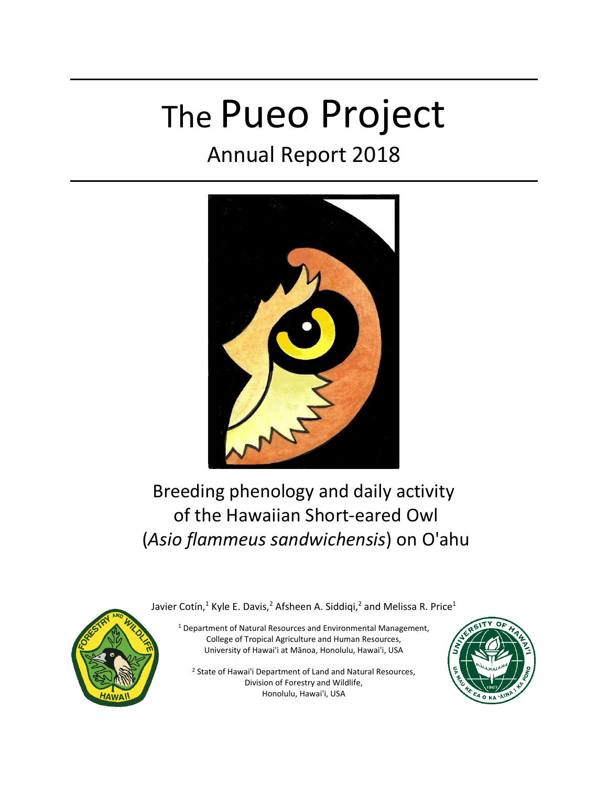# The Pueo Project

### Annual Report 2018



### Breeding phenology and daily activity of the Hawaiian Short-eared Owl (*Asio flammeus sandwichensis*) on O'ahu



Javier Cotín,<sup>1</sup> Kyle E. Davis,<sup>2</sup> Afsheen A. Siddiqi,<sup>2</sup> and Melissa R. Price<sup>1</sup>

<sup>1</sup> Department of Natural Resources and Environmental Management, College of Tropical Agriculture and Human Resources, University of Hawai'i at Mānoa, Honolulu, Hawai'i, USA

<sup>2</sup> State of Hawai'i Department of Land and Natural Resources, Division of Forestry and Wildlife, Honolulu, Hawai'i, USA

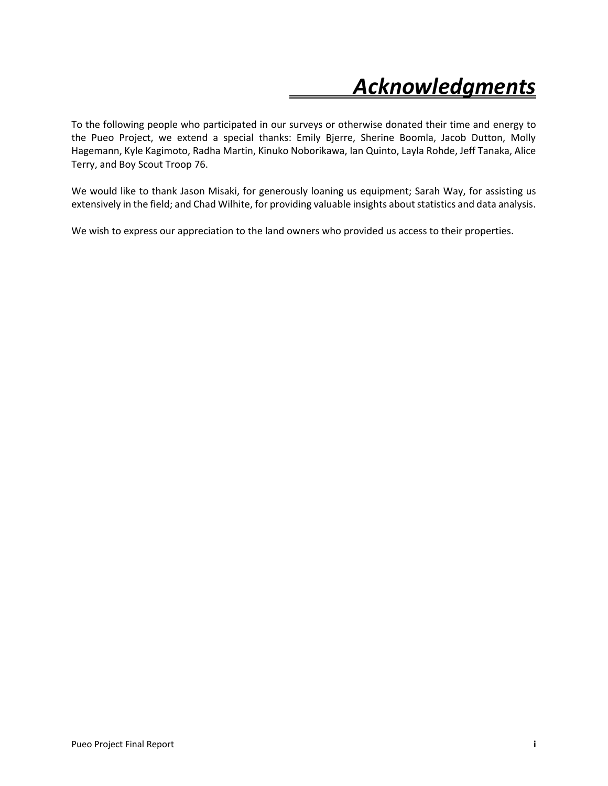# *Acknowledgments*

To the following people who participated in our surveys or otherwise donated their time and energy to the Pueo Project, we extend a special thanks: Emily Bjerre, Sherine Boomla, Jacob Dutton, Molly Hagemann, Kyle Kagimoto, Radha Martin, Kinuko Noborikawa, Ian Quinto, Layla Rohde, Jeff Tanaka, Alice Terry, and Boy Scout Troop 76.

We would like to thank Jason Misaki, for generously loaning us equipment; Sarah Way, for assisting us extensively in the field; and Chad Wilhite, for providing valuable insights about statistics and data analysis.

We wish to express our appreciation to the land owners who provided us access to their properties.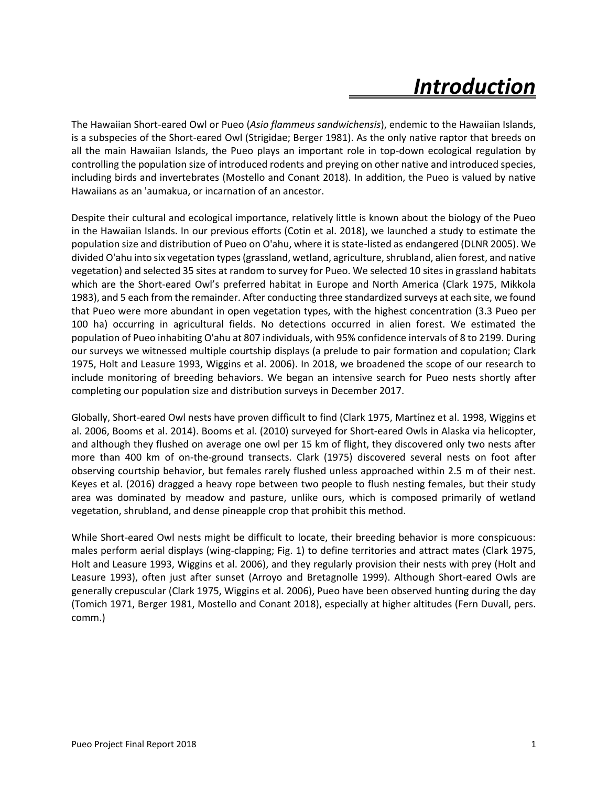# *Introduction*

The Hawaiian Short-eared Owl or Pueo (*Asio flammeus sandwichensis*), endemic to the Hawaiian Islands, is a subspecies of the Short-eared Owl (Strigidae; Berger 1981). As the only native raptor that breeds on all the main Hawaiian Islands, the Pueo plays an important role in top-down ecological regulation by controlling the population size of introduced rodents and preying on other native and introduced species, including birds and invertebrates (Mostello and Conant 2018). In addition, the Pueo is valued by native Hawaiians as an 'aumakua, or incarnation of an ancestor.

Despite their cultural and ecological importance, relatively little is known about the biology of the Pueo in the Hawaiian Islands. In our previous efforts (Cotin et al. 2018), we launched a study to estimate the population size and distribution of Pueo on O'ahu, where it is state-listed as endangered (DLNR 2005). We divided O'ahu into six vegetation types (grassland, wetland, agriculture, shrubland, alien forest, and native vegetation) and selected 35 sites at random to survey for Pueo. We selected 10 sites in grassland habitats which are the Short-eared Owl's preferred habitat in Europe and North America (Clark 1975, Mikkola 1983), and 5 each from the remainder. After conducting three standardized surveys at each site, we found that Pueo were more abundant in open vegetation types, with the highest concentration (3.3 Pueo per 100 ha) occurring in agricultural fields. No detections occurred in alien forest. We estimated the population of Pueo inhabiting O'ahu at 807 individuals, with 95% confidence intervals of 8 to 2199. During our surveys we witnessed multiple courtship displays (a prelude to pair formation and copulation; Clark 1975, Holt and Leasure 1993, Wiggins et al. 2006). In 2018, we broadened the scope of our research to include monitoring of breeding behaviors. We began an intensive search for Pueo nests shortly after completing our population size and distribution surveys in December 2017.

Globally, Short-eared Owl nests have proven difficult to find (Clark 1975, Martínez et al. 1998, Wiggins et al. 2006, Booms et al. 2014). Booms et al. (2010) surveyed for Short-eared Owls in Alaska via helicopter, and although they flushed on average one owl per 15 km of flight, they discovered only two nests after more than 400 km of on-the-ground transects. Clark (1975) discovered several nests on foot after observing courtship behavior, but females rarely flushed unless approached within 2.5 m of their nest. Keyes et al. (2016) dragged a heavy rope between two people to flush nesting females, but their study area was dominated by meadow and pasture, unlike ours, which is composed primarily of wetland vegetation, shrubland, and dense pineapple crop that prohibit this method.

While Short-eared Owl nests might be difficult to locate, their breeding behavior is more conspicuous: males perform aerial displays (wing-clapping; Fig. 1) to define territories and attract mates (Clark 1975, Holt and Leasure 1993, Wiggins et al. 2006), and they regularly provision their nests with prey (Holt and Leasure 1993), often just after sunset (Arroyo and Bretagnolle 1999). Although Short-eared Owls are generally crepuscular (Clark 1975, Wiggins et al. 2006), Pueo have been observed hunting during the day (Tomich 1971, Berger 1981, Mostello and Conant 2018), especially at higher altitudes (Fern Duvall, pers. comm.)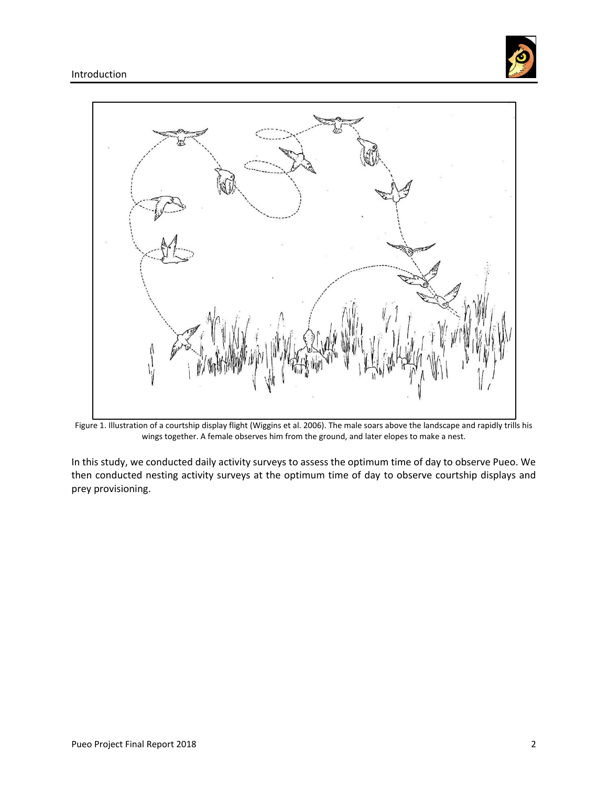



Figure 1. Illustration of a courtship display flight (Wiggins et al. 2006). The male soars above the landscape and rapidly trills his wings together. A female observes him from the ground, and later elopes to make a nest.

In this study, we conducted daily activity surveys to assess the optimum time of day to observe Pueo. We then conducted nesting activity surveys at the optimum time of day to observe courtship displays and prey provisioning.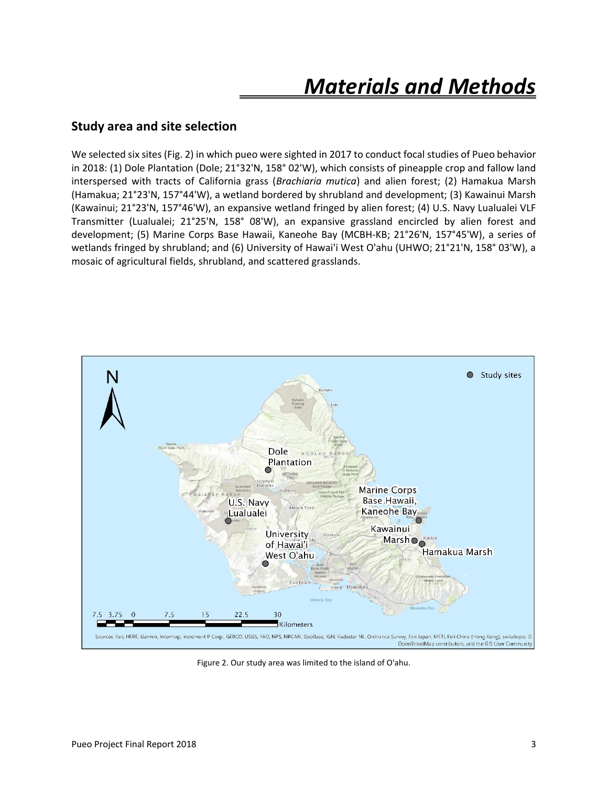#### **Study area and site selection**

We selected six sites (Fig. 2) in which pueo were sighted in 2017 to conduct focal studies of Pueo behavior in 2018: (1) Dole Plantation (Dole; 21°32'N, 158° 02'W), which consists of pineapple crop and fallow land interspersed with tracts of California grass (*Brachiaria mutica*) and alien forest; (2) Hamakua Marsh (Hamakua; 21°23'N, 157°44'W), a wetland bordered by shrubland and development; (3) Kawainui Marsh (Kawainui; 21°23'N, 157°46'W), an expansive wetland fringed by alien forest; (4) U.S. Navy Lualualei VLF Transmitter (Lualualei; 21°25'N, 158° 08'W), an expansive grassland encircled by alien forest and development; (5) Marine Corps Base Hawaii, Kaneohe Bay (MCBH-KB; 21°26'N, 157°45'W), a series of wetlands fringed by shrubland; and (6) University of Hawai'i West O'ahu (UHWO; 21°21'N, 158° 03'W), a mosaic of agricultural fields, shrubland, and scattered grasslands.



Figure 2. Our study area was limited to the island of O'ahu.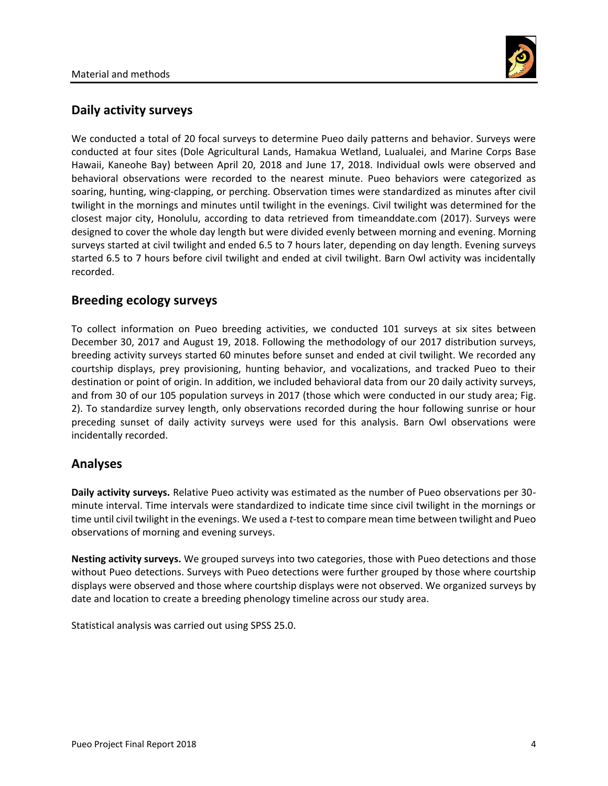

#### **Daily activity surveys**

We conducted a total of 20 focal surveys to determine Pueo daily patterns and behavior. Surveys were conducted at four sites (Dole Agricultural Lands, Hamakua Wetland, Lualualei, and Marine Corps Base Hawaii, Kaneohe Bay) between April 20, 2018 and June 17, 2018. Individual owls were observed and behavioral observations were recorded to the nearest minute. Pueo behaviors were categorized as soaring, hunting, wing-clapping, or perching. Observation times were standardized as minutes after civil twilight in the mornings and minutes until twilight in the evenings. Civil twilight was determined for the closest major city, Honolulu, according to data retrieved from timeanddate.com (2017). Surveys were designed to cover the whole day length but were divided evenly between morning and evening. Morning surveys started at civil twilight and ended 6.5 to 7 hours later, depending on day length. Evening surveys started 6.5 to 7 hours before civil twilight and ended at civil twilight. Barn Owl activity was incidentally recorded.

#### **Breeding ecology surveys**

To collect information on Pueo breeding activities, we conducted 101 surveys at six sites between December 30, 2017 and August 19, 2018. Following the methodology of our 2017 distribution surveys, breeding activity surveys started 60 minutes before sunset and ended at civil twilight. We recorded any courtship displays, prey provisioning, hunting behavior, and vocalizations, and tracked Pueo to their destination or point of origin. In addition, we included behavioral data from our 20 daily activity surveys, and from 30 of our 105 population surveys in 2017 (those which were conducted in our study area; Fig. 2). To standardize survey length, only observations recorded during the hour following sunrise or hour preceding sunset of daily activity surveys were used for this analysis. Barn Owl observations were incidentally recorded.

#### **Analyses**

**Daily activity surveys.** Relative Pueo activity was estimated as the number of Pueo observations per 30 minute interval. Time intervals were standardized to indicate time since civil twilight in the mornings or time until civil twilight in the evenings. We used a *t*-test to compare mean time between twilight and Pueo observations of morning and evening surveys.

**Nesting activity surveys.** We grouped surveys into two categories, those with Pueo detections and those without Pueo detections. Surveys with Pueo detections were further grouped by those where courtship displays were observed and those where courtship displays were not observed. We organized surveys by date and location to create a breeding phenology timeline across our study area.

Statistical analysis was carried out using SPSS 25.0.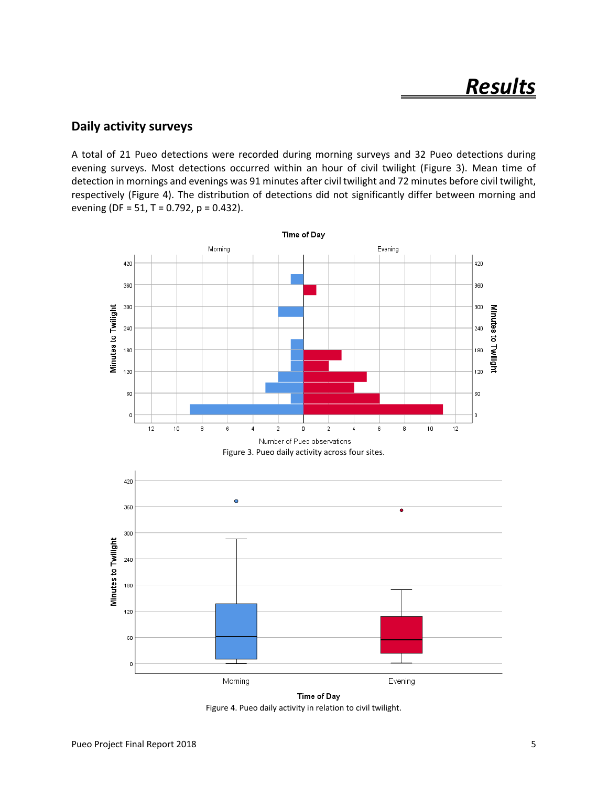#### **Daily activity surveys**

A total of 21 Pueo detections were recorded during morning surveys and 32 Pueo detections during evening surveys. Most detections occurred within an hour of civil twilight (Figure 3). Mean time of detection in mornings and evenings was 91 minutes after civil twilight and 72 minutes before civil twilight, respectively (Figure 4). The distribution of detections did not significantly differ between morning and evening (DF = 51, T = 0.792, p = 0.432).



Time of Day Figure 4. Pueo daily activity in relation to civil twilight.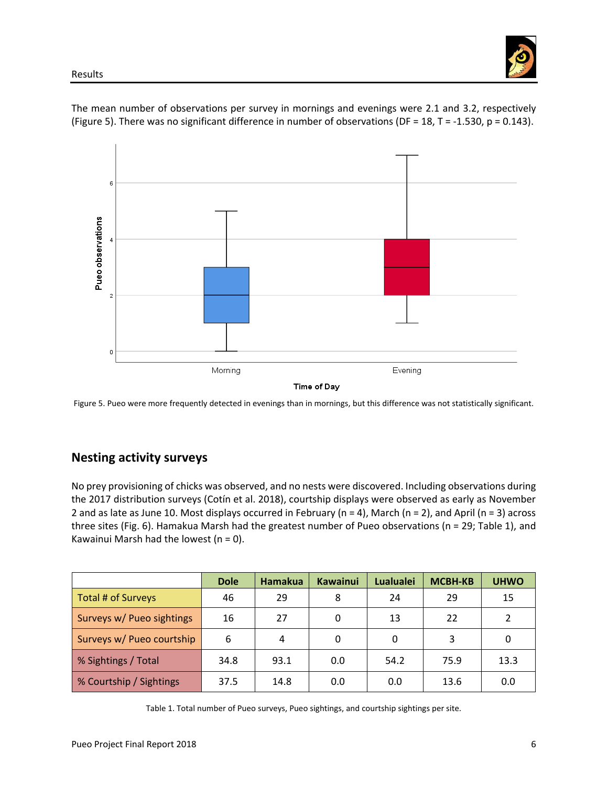The mean number of observations per survey in mornings and evenings were 2.1 and 3.2, respectively (Figure 5). There was no significant difference in number of observations (DF = 18, T = -1.530, p = 0.143).



Time of Day

Figure 5. Pueo were more frequently detected in evenings than in mornings, but this difference was not statistically significant.

#### **Nesting activity surveys**

No prey provisioning of chicks was observed, and no nests were discovered. Including observations during the 2017 distribution surveys (Cotín et al. 2018), courtship displays were observed as early as November 2 and as late as June 10. Most displays occurred in February (n = 4), March (n = 2), and April (n = 3) across three sites (Fig. 6). Hamakua Marsh had the greatest number of Pueo observations (n = 29; Table 1), and Kawainui Marsh had the lowest ( $n = 0$ ).

|                           | <b>Dole</b> | <b>Hamakua</b> | <b>Kawainui</b> | <b>Lualualei</b> | <b>MCBH-KB</b> | <b>UHWO</b> |
|---------------------------|-------------|----------------|-----------------|------------------|----------------|-------------|
| Total # of Surveys        | 46          | 29             | 8               | 24               | 29             | 15          |
| Surveys w/ Pueo sightings | 16          | 27             | 0               | 13               | 22             | 2           |
| Surveys w/ Pueo courtship | 6           | 4              | 0               | 0                | 3              | 0           |
| % Sightings / Total       | 34.8        | 93.1           | 0.0             | 54.2             | 75.9           | 13.3        |
| % Courtship / Sightings   | 37.5        | 14.8           | 0.0             | 0.0              | 13.6           | 0.0         |

Table 1. Total number of Pueo surveys, Pueo sightings, and courtship sightings per site.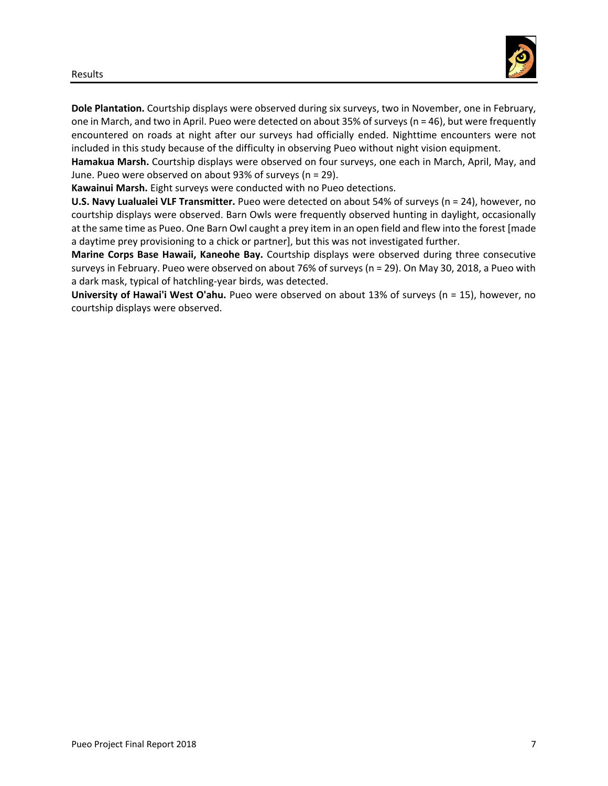#### Results



**Dole Plantation.** Courtship displays were observed during six surveys, two in November, one in February, one in March, and two in April. Pueo were detected on about 35% of surveys (n = 46), but were frequently encountered on roads at night after our surveys had officially ended. Nighttime encounters were not included in this study because of the difficulty in observing Pueo without night vision equipment.

**Hamakua Marsh.** Courtship displays were observed on four surveys, one each in March, April, May, and June. Pueo were observed on about 93% of surveys (n = 29).

**Kawainui Marsh.** Eight surveys were conducted with no Pueo detections.

**U.S. Navy Lualualei VLF Transmitter.** Pueo were detected on about 54% of surveys (n = 24), however, no courtship displays were observed. Barn Owls were frequently observed hunting in daylight, occasionally at the same time as Pueo. One Barn Owl caught a prey item in an open field and flew into the forest [made a daytime prey provisioning to a chick or partner], but this was not investigated further.

**Marine Corps Base Hawaii, Kaneohe Bay.** Courtship displays were observed during three consecutive surveys in February. Pueo were observed on about 76% of surveys (n = 29). On May 30, 2018, a Pueo with a dark mask, typical of hatchling-year birds, was detected.

**University of Hawai'i West O'ahu.** Pueo were observed on about 13% of surveys (n = 15), however, no courtship displays were observed.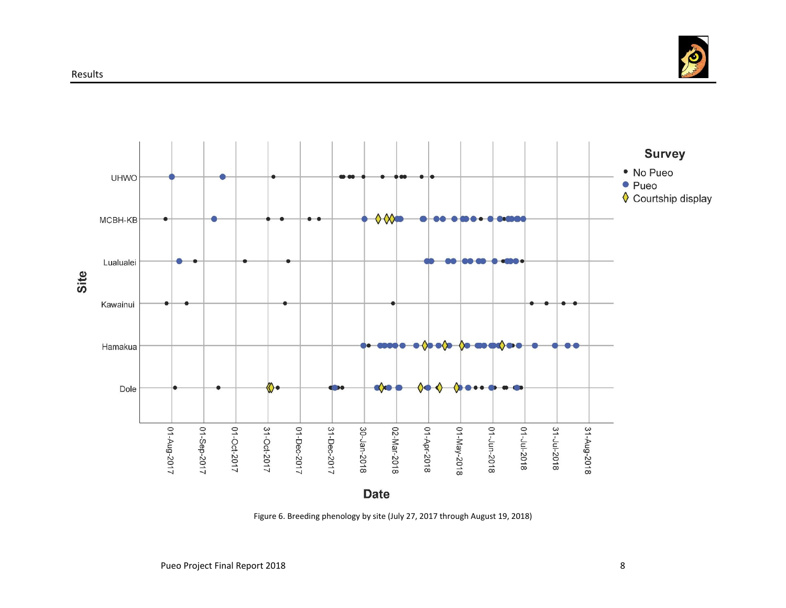

Figure 6. Breeding phenology by site (July 27, 2017 through August 19, 2018)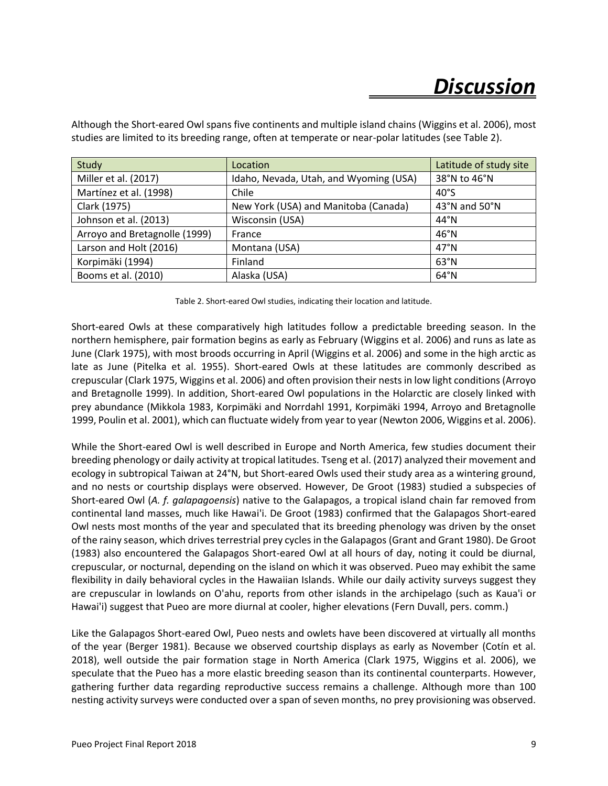### *Discussion*

| Study                         | Location                               | Latitude of study site |
|-------------------------------|----------------------------------------|------------------------|
| Miller et al. (2017)          | Idaho, Nevada, Utah, and Wyoming (USA) | 38°N to 46°N           |
| Martínez et al. (1998)        | Chile                                  | 40°S                   |
| Clark (1975)                  | New York (USA) and Manitoba (Canada)   | 43°N and 50°N          |
| Johnson et al. (2013)         | Wisconsin (USA)                        | $44^{\circ}$ N         |
| Arroyo and Bretagnolle (1999) | France                                 | 46°N                   |
| Larson and Holt (2016)        | Montana (USA)                          | 47°N                   |
| Korpimäki (1994)              | Finland                                | 63°N                   |
| Booms et al. (2010)           | Alaska (USA)                           | $64^{\circ}$ N         |

Although the Short-eared Owl spans five continents and multiple island chains (Wiggins et al. 2006), most studies are limited to its breeding range, often at temperate or near-polar latitudes (see Table 2).

Table 2. Short-eared Owl studies, indicating their location and latitude.

Short-eared Owls at these comparatively high latitudes follow a predictable breeding season. In the northern hemisphere, pair formation begins as early as February (Wiggins et al. 2006) and runs as late as June (Clark 1975), with most broods occurring in April (Wiggins et al. 2006) and some in the high arctic as late as June (Pitelka et al. 1955). Short-eared Owls at these latitudes are commonly described as crepuscular (Clark 1975, Wiggins et al. 2006) and often provision their nests in low light conditions (Arroyo and Bretagnolle 1999). In addition, Short-eared Owl populations in the Holarctic are closely linked with prey abundance (Mikkola 1983, Korpimäki and Norrdahl 1991, Korpimäki 1994, Arroyo and Bretagnolle 1999, Poulin et al. 2001), which can fluctuate widely from year to year (Newton 2006, Wiggins et al. 2006).

While the Short-eared Owl is well described in Europe and North America, few studies document their breeding phenology or daily activity at tropical latitudes. Tseng et al. (2017) analyzed their movement and ecology in subtropical Taiwan at 24°N, but Short-eared Owls used their study area as a wintering ground, and no nests or courtship displays were observed. However, De Groot (1983) studied a subspecies of Short-eared Owl (*A. f. galapagoensis*) native to the Galapagos, a tropical island chain far removed from continental land masses, much like Hawai'i. De Groot (1983) confirmed that the Galapagos Short-eared Owl nests most months of the year and speculated that its breeding phenology was driven by the onset of the rainy season, which drives terrestrial prey cycles in the Galapagos (Grant and Grant 1980). De Groot (1983) also encountered the Galapagos Short-eared Owl at all hours of day, noting it could be diurnal, crepuscular, or nocturnal, depending on the island on which it was observed. Pueo may exhibit the same flexibility in daily behavioral cycles in the Hawaiian Islands. While our daily activity surveys suggest they are crepuscular in lowlands on O'ahu, reports from other islands in the archipelago (such as Kaua'i or Hawai'i) suggest that Pueo are more diurnal at cooler, higher elevations (Fern Duvall, pers. comm.)

Like the Galapagos Short-eared Owl, Pueo nests and owlets have been discovered at virtually all months of the year (Berger 1981). Because we observed courtship displays as early as November (Cotín et al. 2018), well outside the pair formation stage in North America (Clark 1975, Wiggins et al. 2006), we speculate that the Pueo has a more elastic breeding season than its continental counterparts. However, gathering further data regarding reproductive success remains a challenge. Although more than 100 nesting activity surveys were conducted over a span of seven months, no prey provisioning was observed.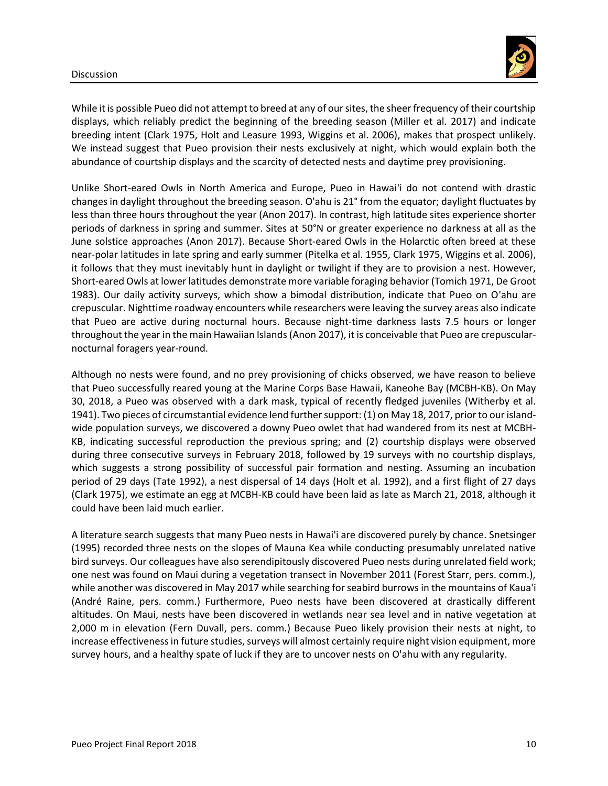

While it is possible Pueo did not attempt to breed at any of our sites, the sheer frequency of their courtship displays, which reliably predict the beginning of the breeding season (Miller et al. 2017) and indicate breeding intent (Clark 1975, Holt and Leasure 1993, Wiggins et al. 2006), makes that prospect unlikely. We instead suggest that Pueo provision their nests exclusively at night, which would explain both the abundance of courtship displays and the scarcity of detected nests and daytime prey provisioning.

Unlike Short-eared Owls in North America and Europe, Pueo in Hawai'i do not contend with drastic changes in daylight throughout the breeding season. O'ahu is 21° from the equator; daylight fluctuates by less than three hours throughout the year (Anon 2017). In contrast, high latitude sites experience shorter periods of darkness in spring and summer. Sites at 50°N or greater experience no darkness at all as the June solstice approaches (Anon 2017). Because Short-eared Owls in the Holarctic often breed at these near-polar latitudes in late spring and early summer (Pitelka et al. 1955, Clark 1975, Wiggins et al. 2006), it follows that they must inevitably hunt in daylight or twilight if they are to provision a nest. However, Short-eared Owls at lower latitudes demonstrate more variable foraging behavior (Tomich 1971, De Groot 1983). Our daily activity surveys, which show a bimodal distribution, indicate that Pueo on O'ahu are crepuscular. Nighttime roadway encounters while researchers were leaving the survey areas also indicate that Pueo are active during nocturnal hours. Because night-time darkness lasts 7.5 hours or longer throughout the year in the main Hawaiian Islands (Anon 2017), it is conceivable that Pueo are crepuscularnocturnal foragers year-round.

Although no nests were found, and no prey provisioning of chicks observed, we have reason to believe that Pueo successfully reared young at the Marine Corps Base Hawaii, Kaneohe Bay (MCBH-KB). On May 30, 2018, a Pueo was observed with a dark mask, typical of recently fledged juveniles (Witherby et al. 1941). Two pieces of circumstantial evidence lend further support: (1) on May 18, 2017, prior to our islandwide population surveys, we discovered a downy Pueo owlet that had wandered from its nest at MCBH-KB, indicating successful reproduction the previous spring; and (2) courtship displays were observed during three consecutive surveys in February 2018, followed by 19 surveys with no courtship displays, which suggests a strong possibility of successful pair formation and nesting. Assuming an incubation period of 29 days (Tate 1992), a nest dispersal of 14 days (Holt et al. 1992), and a first flight of 27 days (Clark 1975), we estimate an egg at MCBH-KB could have been laid as late as March 21, 2018, although it could have been laid much earlier.

A literature search suggests that many Pueo nests in Hawai'i are discovered purely by chance. Snetsinger (1995) recorded three nests on the slopes of Mauna Kea while conducting presumably unrelated native bird surveys. Our colleagues have also serendipitously discovered Pueo nests during unrelated field work; one nest was found on Maui during a vegetation transect in November 2011 (Forest Starr, pers. comm.), while another was discovered in May 2017 while searching for seabird burrows in the mountains of Kaua'i (André Raine, pers. comm.) Furthermore, Pueo nests have been discovered at drastically different altitudes. On Maui, nests have been discovered in wetlands near sea level and in native vegetation at 2,000 m in elevation (Fern Duvall, pers. comm.) Because Pueo likely provision their nests at night, to increase effectiveness in future studies, surveys will almost certainly require night vision equipment, more survey hours, and a healthy spate of luck if they are to uncover nests on O'ahu with any regularity.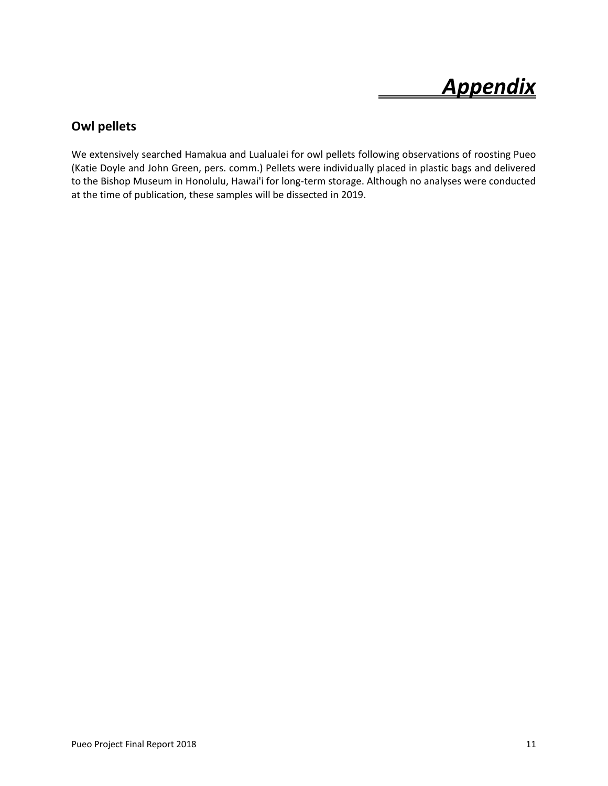### *Appendix*

#### **Owl pellets**

We extensively searched Hamakua and Lualualei for owl pellets following observations of roosting Pueo (Katie Doyle and John Green, pers. comm.) Pellets were individually placed in plastic bags and delivered to the Bishop Museum in Honolulu, Hawai'i for long-term storage. Although no analyses were conducted at the time of publication, these samples will be dissected in 2019.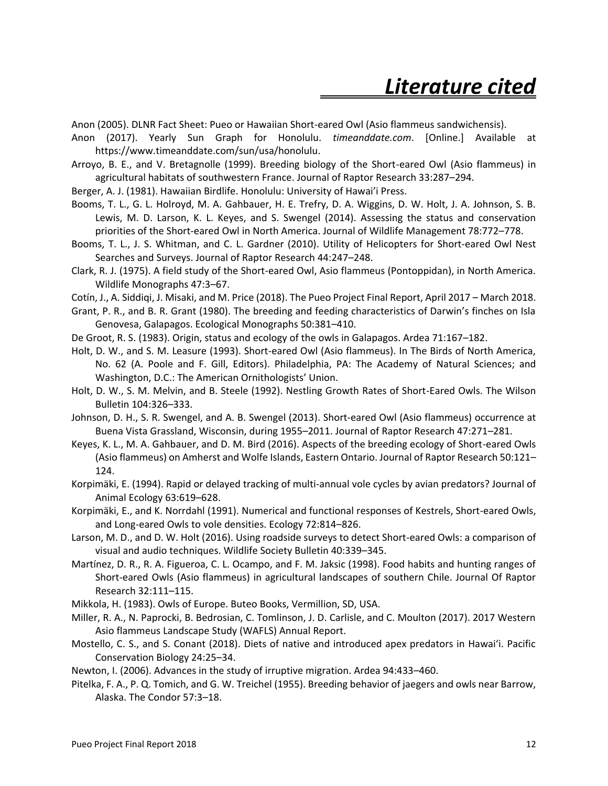Anon (2005). DLNR Fact Sheet: Pueo or Hawaiian Short-eared Owl (Asio flammeus sandwichensis).

Anon (2017). Yearly Sun Graph for Honolulu. *timeanddate.com*. [Online.] Available at https://www.timeanddate.com/sun/usa/honolulu.

Arroyo, B. E., and V. Bretagnolle (1999). Breeding biology of the Short-eared Owl (Asio flammeus) in agricultural habitats of southwestern France. Journal of Raptor Research 33:287–294.

Berger, A. J. (1981). Hawaiian Birdlife. Honolulu: University of Hawai'i Press.

Booms, T. L., G. L. Holroyd, M. A. Gahbauer, H. E. Trefry, D. A. Wiggins, D. W. Holt, J. A. Johnson, S. B. Lewis, M. D. Larson, K. L. Keyes, and S. Swengel (2014). Assessing the status and conservation priorities of the Short-eared Owl in North America. Journal of Wildlife Management 78:772–778.

Booms, T. L., J. S. Whitman, and C. L. Gardner (2010). Utility of Helicopters for Short-eared Owl Nest Searches and Surveys. Journal of Raptor Research 44:247–248.

Clark, R. J. (1975). A field study of the Short-eared Owl, Asio flammeus (Pontoppidan), in North America. Wildlife Monographs 47:3–67.

Cotín, J., A. Siddiqi, J. Misaki, and M. Price (2018). The Pueo Project Final Report, April 2017 – March 2018.

Grant, P. R., and B. R. Grant (1980). The breeding and feeding characteristics of Darwin's finches on Isla Genovesa, Galapagos. Ecological Monographs 50:381–410.

De Groot, R. S. (1983). Origin, status and ecology of the owls in Galapagos. Ardea 71:167–182.

Holt, D. W., and S. M. Leasure (1993). Short-eared Owl (Asio flammeus). In The Birds of North America, No. 62 (A. Poole and F. Gill, Editors). Philadelphia, PA: The Academy of Natural Sciences; and Washington, D.C.: The American Ornithologists' Union.

Holt, D. W., S. M. Melvin, and B. Steele (1992). Nestling Growth Rates of Short-Eared Owls. The Wilson Bulletin 104:326–333.

Johnson, D. H., S. R. Swengel, and A. B. Swengel (2013). Short-eared Owl (Asio flammeus) occurrence at Buena Vista Grassland, Wisconsin, during 1955–2011. Journal of Raptor Research 47:271–281.

Keyes, K. L., M. A. Gahbauer, and D. M. Bird (2016). Aspects of the breeding ecology of Short-eared Owls (Asio flammeus) on Amherst and Wolfe Islands, Eastern Ontario. Journal of Raptor Research 50:121– 124.

Korpimäki, E. (1994). Rapid or delayed tracking of multi-annual vole cycles by avian predators? Journal of Animal Ecology 63:619–628.

Korpimäki, E., and K. Norrdahl (1991). Numerical and functional responses of Kestrels, Short-eared Owls, and Long-eared Owls to vole densities. Ecology 72:814–826.

Larson, M. D., and D. W. Holt (2016). Using roadside surveys to detect Short-eared Owls: a comparison of visual and audio techniques. Wildlife Society Bulletin 40:339–345.

Martínez, D. R., R. A. Figueroa, C. L. Ocampo, and F. M. Jaksic (1998). Food habits and hunting ranges of Short-eared Owls (Asio flammeus) in agricultural landscapes of southern Chile. Journal Of Raptor Research 32:111–115.

Mikkola, H. (1983). Owls of Europe. Buteo Books, Vermillion, SD, USA.

Miller, R. A., N. Paprocki, B. Bedrosian, C. Tomlinson, J. D. Carlisle, and C. Moulton (2017). 2017 Western Asio flammeus Landscape Study (WAFLS) Annual Report.

Mostello, C. S., and S. Conant (2018). Diets of native and introduced apex predators in Hawai'i. Pacific Conservation Biology 24:25–34.

Newton, I. (2006). Advances in the study of irruptive migration. Ardea 94:433–460.

Pitelka, F. A., P. Q. Tomich, and G. W. Treichel (1955). Breeding behavior of jaegers and owls near Barrow, Alaska. The Condor 57:3–18.